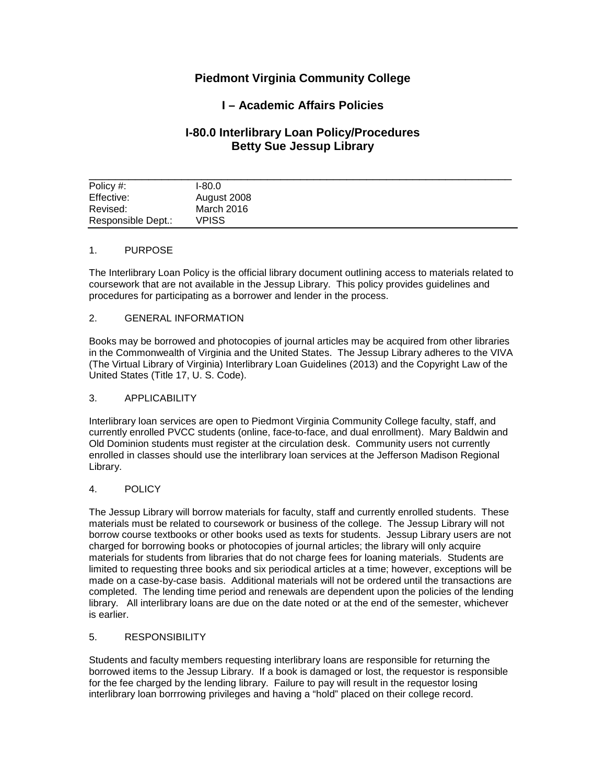# **Piedmont Virginia Community College**

# **I – Academic Affairs Policies**

## **I-80.0 Interlibrary Loan Policy/Procedures Betty Sue Jessup Library**

| Policy #:          | $1-80.0$    |
|--------------------|-------------|
| Effective:         | August 2008 |
| Revised:           | March 2016  |
| Responsible Dept.: | VPISS       |

## 1. PURPOSE

The Interlibrary Loan Policy is the official library document outlining access to materials related to coursework that are not available in the Jessup Library. This policy provides guidelines and procedures for participating as a borrower and lender in the process.

#### 2. GENERAL INFORMATION

Books may be borrowed and photocopies of journal articles may be acquired from other libraries in the Commonwealth of Virginia and the United States. The Jessup Library adheres to the VIVA (The Virtual Library of Virginia) Interlibrary Loan Guidelines (2013) and the Copyright Law of the United States (Title 17, U. S. Code).

### 3. APPLICABILITY

Interlibrary loan services are open to Piedmont Virginia Community College faculty, staff, and currently enrolled PVCC students (online, face-to-face, and dual enrollment). Mary Baldwin and Old Dominion students must register at the circulation desk. Community users not currently enrolled in classes should use the interlibrary loan services at the Jefferson Madison Regional Library.

## 4. POLICY

The Jessup Library will borrow materials for faculty, staff and currently enrolled students. These materials must be related to coursework or business of the college. The Jessup Library will not borrow course textbooks or other books used as texts for students. Jessup Library users are not charged for borrowing books or photocopies of journal articles; the library will only acquire materials for students from libraries that do not charge fees for loaning materials. Students are limited to requesting three books and six periodical articles at a time; however, exceptions will be made on a case-by-case basis. Additional materials will not be ordered until the transactions are completed. The lending time period and renewals are dependent upon the policies of the lending library. All interlibrary loans are due on the date noted or at the end of the semester, whichever is earlier.

#### 5. RESPONSIBILITY

Students and faculty members requesting interlibrary loans are responsible for returning the borrowed items to the Jessup Library. If a book is damaged or lost, the requestor is responsible for the fee charged by the lending library. Failure to pay will result in the requestor losing interlibrary loan borrrowing privileges and having a "hold" placed on their college record.